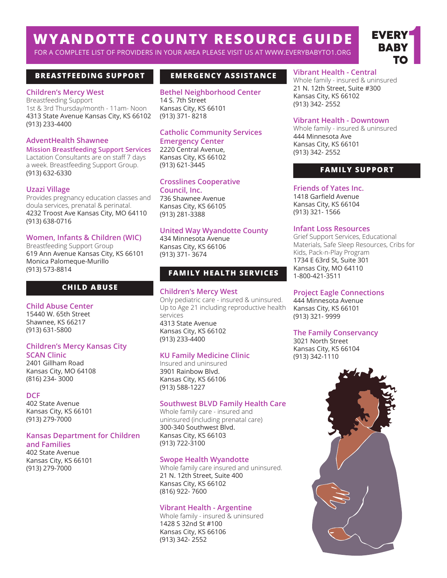# **WYANDOTTE COUNTY RESOURCE GUIDE**

FOR A COMPLETE LIST OF PROVIDERS IN YOUR AREA PLEASE VISIT US AT WWW.EVERYBABYTO1.ORG

# **BREASTFEEDING SUPPORT EMERGENCY ASSISTANCE**

#### **Children's Mercy West**

Breastfeeding Support 1st & 3rd Thursday/month - 11am- Noon 4313 State Avenue Kansas City, KS 66102 (913) 233-4400

#### **AdventHealth Shawnee**

**Mission Breastfeeding Support Services** Lactation Consultants are on staff 7 days a week. Breastfeeding Support Group. (913) 632-6330

#### **Uzazi Village**

Provides pregnancy education classes and doula services, prenatal & perinatal. 4232 Troost Ave Kansas City, MO 64110 (913) 638-0716

#### **Women, Infants & Children (WIC)**

Breastfeeding Support Group 619 Ann Avenue Kansas City, KS 66101 Monica Palomeque-Murillo (913) 573-8814

### **CHILD ABUSE**

#### **Child Abuse Center**

15440 W. 65th Street Shawnee, KS 66217 (913) 631-5800

#### **Children's Mercy Kansas City SCAN Clinic**

2401 Gillham Road Kansas City, MO 64108 (816) 234- 3000

#### **DCF**

402 State Avenue Kansas City, KS 66101 (913) 279-7000

## **Kansas Department for Children**

**and Families** 402 State Avenue Kansas City, KS 66101 (913) 279-7000

**Bethel Neighborhood Center** 14 S. 7th Street Kansas City, KS 66101 (913) 371- 8218

# **Catholic Community Services**

**Emergency Center** 2220 Central Avenue, Kansas City, KS 66102 (913) 621-3445

# **Crosslines Cooperative**

**Council, Inc.** 736 Shawnee Avenue Kansas City, KS 66105 (913) 281-3388

### **United Way Wyandotte County**

434 Minnesota Avenue Kansas City, KS 66106 (913) 371- 3674

# **FAMILY HEALTH SERVICES**

#### **Children's Mercy West**

Only pediatric care - insured & uninsured. Up to Age 21 including reproductive health services 4313 State Avenue Kansas City, KS 66102 (913) 233-4400

#### **KU Family Medicine Clinic**

Insured and uninsured 3901 Rainbow Blvd. Kansas City, KS 66106 (913) 588-1227

#### **Southwest BLVD Family Health Care**

Whole family care - insured and uninsured (including prenatal care) 300-340 Southwest Blvd. Kansas City, KS 66103 (913) 722-3100

#### **Swope Health Wyandotte**

Whole family care insured and uninsured. 21 N. 12th Street, Suite 400 Kansas City, KS 66102 (816) 922- 7600

#### **Vibrant Health - Argentine**

Whole family - insured & uninsured 1428 S 32nd St #100 Kansas City, KS 66106 (913) 342- 2552

### **Vibrant Health - Central**

Whole family - insured & uninsured 21 N. 12th Street, Suite #300 Kansas City, KS 66102 (913) 342- 2552

#### **Vibrant Health - Downtown**

Whole family - insured & uninsured 444 Minnesota Ave Kansas City, KS 66101 (913) 342- 2552

### **FAMILY SUPPORT**

# **Friends of Yates Inc.** 1418 Garfield Avenue

Kansas City, KS 66104 (913) 321- 1566

#### **Infant Loss Resources**

Grief Support Services, Educational Materials, Safe Sleep Resources, Cribs for Kids, Pack-n-Play Program 1734 E 63rd St, Suite 301 Kansas City, MO 64110 1-800-421-3511

#### **Project Eagle Connections**

444 Minnesota Avenue Kansas City, KS 66101 (913) 321- 9999

#### **The Family Conservancy**

3021 North Street Kansas City, KS 66104 (913) 342-1110